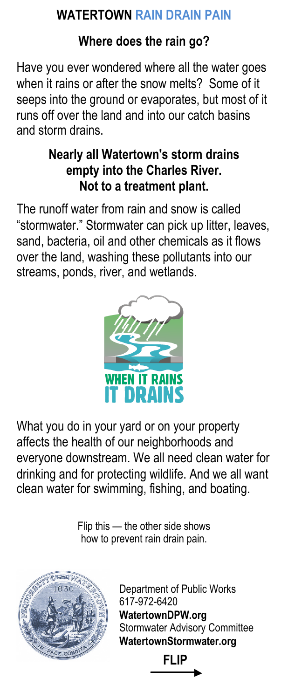## **WATERTOWN RAIN DRAIN PAIN**

## **Where does the rain go?**

Have you ever wondered where all the water goes when it rains or after the snow melts? Some of it seeps into the ground or evaporates, but most of it runs off over the land and into our catch basins and storm drains.

## **Nearly all Watertown's storm drains empty into the Charles River. Not to a treatment plant.**

The runoff water from rain and snow is called "stormwater." Stormwater can pick up litter, leaves, sand, bacteria, oil and other chemicals as it flows over the land, washing these pollutants into our streams, ponds, river, and wetlands.



What you do in your yard or on your property affects the health of our neighborhoods and everyone downstream. We all need clean water for drinking and for protecting wildlife. And we all want clean water for swimming, fishing, and boating.

> Flip this — the other side shows how to prevent rain drain pain.



Department of Public Works 617-972-6420 **WatertownDPW.org** Stormwater Advisory Committee **WatertownStormwater.org**